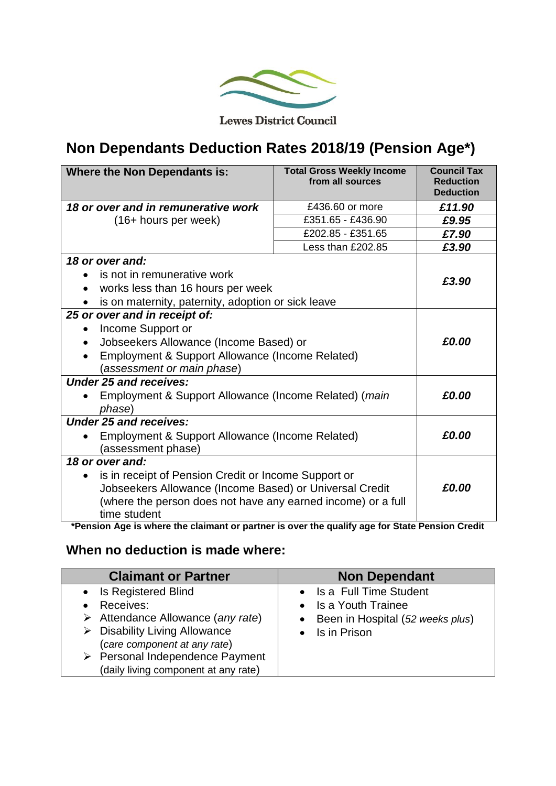

**Lewes District Council** 

## **Non Dependants Deduction Rates 2018/19 (Pension Age\*)**

| 18 or over and in remunerative work<br>£436.60 or more<br>£11.90<br>£351.65 - £436.90<br>(16+ hours per week)<br>£9.95<br>£202.85 - £351.65<br>£7.90<br>Less than £202.85<br>£3.90 |  |  |
|------------------------------------------------------------------------------------------------------------------------------------------------------------------------------------|--|--|
|                                                                                                                                                                                    |  |  |
|                                                                                                                                                                                    |  |  |
|                                                                                                                                                                                    |  |  |
|                                                                                                                                                                                    |  |  |
| 18 or over and:                                                                                                                                                                    |  |  |
| is not in remunerative work                                                                                                                                                        |  |  |
| £3.90<br>works less than 16 hours per week                                                                                                                                         |  |  |
| is on maternity, paternity, adoption or sick leave                                                                                                                                 |  |  |
| 25 or over and in receipt of:                                                                                                                                                      |  |  |
| Income Support or                                                                                                                                                                  |  |  |
| £0.00<br>Jobseekers Allowance (Income Based) or                                                                                                                                    |  |  |
| Employment & Support Allowance (Income Related)                                                                                                                                    |  |  |
| (assessment or main phase)                                                                                                                                                         |  |  |
| <b>Under 25 and receives:</b>                                                                                                                                                      |  |  |
| £0.00<br>Employment & Support Allowance (Income Related) (main                                                                                                                     |  |  |
| phase)                                                                                                                                                                             |  |  |
| <b>Under 25 and receives:</b>                                                                                                                                                      |  |  |
| £0.00<br>Employment & Support Allowance (Income Related)                                                                                                                           |  |  |
| (assessment phase)                                                                                                                                                                 |  |  |
| 18 or over and:                                                                                                                                                                    |  |  |
| is in receipt of Pension Credit or Income Support or<br>$\bullet$                                                                                                                  |  |  |
| Jobseekers Allowance (Income Based) or Universal Credit<br>£0.00                                                                                                                   |  |  |
| (where the person does not have any earned income) or a full                                                                                                                       |  |  |
| time student<br>*Pension Age is where the claimant or partner is over the qualify age for State Pension Credit                                                                     |  |  |

**\*Pension Age is where the claimant or partner is over the qualify age for State Pension Credit**

## **When no deduction is made where:**

| <b>Claimant or Partner</b>                                                                                                                                                                                                                                     | <b>Non Dependant</b>                                                                                             |
|----------------------------------------------------------------------------------------------------------------------------------------------------------------------------------------------------------------------------------------------------------------|------------------------------------------------------------------------------------------------------------------|
| • Is Registered Blind<br>Receives:<br>$\bullet$<br>$\triangleright$ Attendance Allowance (any rate)<br>$\triangleright$ Disability Living Allowance<br>(care component at any rate)<br>> Personal Independence Payment<br>(daily living component at any rate) | • Is a Full Time Student<br>• Is a Youth Trainee<br>• Been in Hospital (52 weeks plus)<br>$\bullet$ Is in Prison |